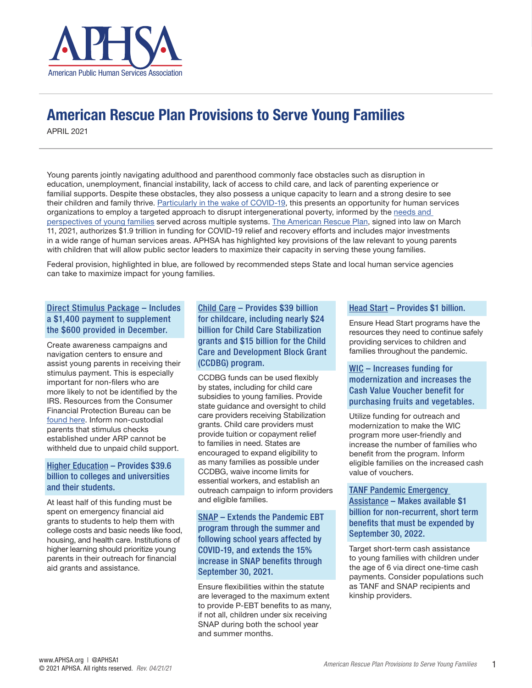

# American Rescue Plan Provisions to Serve Young Families

APRIL 2021

Young parents jointly navigating adulthood and parenthood commonly face obstacles such as disruption in education, unemployment, financial instability, lack of access to child care, and lack of parenting experience or familial supports. Despite these obstacles, they also possess a unique capacity to learn and a strong desire to see their children and family thrive. [Particularly in the wake of COVID-19,](https://aphsa.org/APHSABlog/APHSABlog/COVID-19/parenting-in-a-pandemic-spotlight-on-young-families.aspx) this presents an opportunity for human services organizations to employ a targeted approach to disrupt intergenerational poverty, informed by the [needs and](https://files.constantcontact.com/391325ca001/9aa37c02-b471-4ade-89e6-c358fd335987.pdf)  [perspectives of young families](https://files.constantcontact.com/391325ca001/9aa37c02-b471-4ade-89e6-c358fd335987.pdf) served across multiple systems. [The American Rescue Plan,](https://files.constantcontact.com/391325ca001/cc2a15de-b754-4800-9a9d-854ba44cb773.pdf) signed into law on March 11, 2021, authorizes \$1.9 trillion in funding for COVID-19 relief and recovery efforts and includes major investments in a wide range of human services areas. APHSA has highlighted key provisions of the law relevant to young parents with children that will allow public sector leaders to maximize their capacity in serving these young families.

Federal provision, highlighted in blue, are followed by recommended steps State and local human service agencies can take to maximize impact for young families.

# Direct Stimulus Package – Includes a \$1,400 payment to supplement the \$600 provided in December.

Create awareness campaigns and navigation centers to ensure and assist young parents in receiving their stimulus payment. This is especially important for non-filers who are more likely to not be identified by the IRS. Resources from the Consumer Financial Protection Bureau can be [found here.](https://www.irs.gov/coronavirus/get-my-payment) Inform non-custodial parents that stimulus checks established under ARP cannot be withheld due to unpaid child support.

#### Higher Education – Provides \$39.6 billion to colleges and universities and their students.

At least half of this funding must be spent on emergency financial aid grants to students to help them with college costs and basic needs like food, housing, and health care. Institutions of higher learning should prioritize young parents in their outreach for financial aid grants and assistance.

# Child Care – Provides \$39 billion for childcare, including nearly \$24 billion for Child Care Stabilization grants and \$15 billion for the Child Care and Development Block Grant (CCDBG) program.

CCDBG funds can be used flexibly by states, including for child care subsidies to young families. Provide state guidance and oversight to child care providers receiving Stabilization grants. Child care providers must provide tuition or copayment relief to families in need. States are encouraged to expand eligibility to as many families as possible under CCDBG, waive income limits for essential workers, and establish an outreach campaign to inform providers and eligible families.

# SNAP – Extends the Pandemic EBT program through the summer and following school years affected by COVID-19, and extends the 15% increase in SNAP benefits through September 30, 2021.

Ensure flexibilities within the statute are leveraged to the maximum extent to provide P-EBT benefits to as many, if not all, children under six receiving SNAP during both the school year and summer months.

#### Head Start – Provides \$1 billion.

Ensure Head Start programs have the resources they need to continue safely providing services to children and families throughout the pandemic.

# WIC – Increases funding for modernization and increases the Cash Value Voucher benefit for purchasing fruits and vegetables.

Utilize funding for outreach and modernization to make the WIC program more user-friendly and increase the number of families who benefit from the program. Inform eligible families on the increased cash value of vouchers.

TANF Pandemic Emergency Assistance – Makes available \$1 billion for non-recurrent, short term benefits that must be expended by September 30, 2022.

Target short-term cash assistance to young families with children under the age of 6 via direct one-time cash payments. Consider populations such as TANF and SNAP recipients and kinship providers.